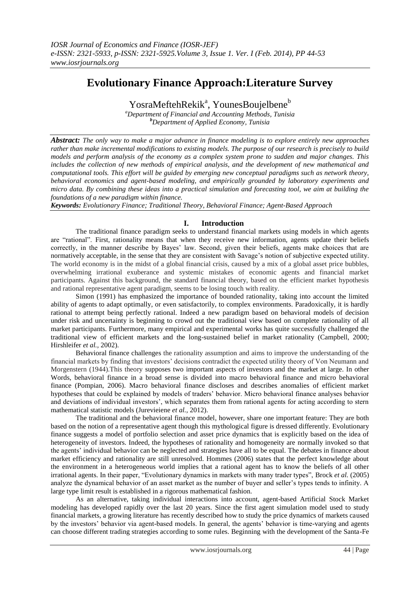# **Evolutionary Finance Approach:Literature Survey**

YosraMeftehRekik<sup>a</sup>, YounesBoujelbene<sup>b</sup>

*<sup>a</sup>Department of Financial and Accounting Methods, Tunisia <sup>b</sup>Department of Applied Economy, Tunisia*

*Abstract: The only way to make a major advance in finance modeling is to explore entirely new approaches rather than make incremental modifications to existing models. The purpose of our research is precisely to build models and perform analysis of the economy as a complex system prone to sudden and major changes. This includes the collection of new methods of empirical analysis, and the development of new mathematical and computational tools. This effort will be guided by emerging new conceptual paradigms such as network theory, behavioral economics and agent-based modeling, and empirically grounded by laboratory experiments and micro data. By combining these ideas into a practical simulation and forecasting tool, we aim at building the foundations of a new paradigm within finance.* 

*Keywords: Evolutionary Finance; Traditional Theory, Behavioral Finance; Agent-Based Approach*

## **I. Introduction**

The traditional finance paradigm seeks to understand financial markets using models in which agents are "rational". First, rationality means that when they receive new information, agents update their beliefs correctly, in the manner describe by Bayes' law. Second, given their beliefs, agents make choices that are normatively acceptable, in the sense that they are consistent with Savage's notion of subjective expected utility. The world economy is in the midst of a global financial crisis, caused by a mix of a global asset price bubbles, overwhelming irrational exuberance and systemic mistakes of economic agents and financial market participants. Against this background, the standard financial theory, based on the efficient market hypothesis and rational representative agent paradigm, seems to be losing touch with reality.

Simon (1991) has emphasized the importance of bounded rationality, taking into account the limited ability of agents to adapt optimally, or even satisfactorily, to complex environments. Paradoxically, it is hardly rational to attempt being perfectly rational. Indeed a new paradigm based on behavioral models of decision under risk and uncertainty is beginning to crowd out the traditional view based on complete rationality of all market participants. Furthermore, many empirical and experimental works has quite successfully challenged the traditional view of efficient markets and the long-sustained belief in market rationality (Campbell, 2000; Hirshleifer *et al.,* 2002).

Behavioral finance challenges the rationality assumption and aims to improve the understanding of the financial markets by finding that investors' decisions contradict the expected utility theory of Von Neumann and Morgenstern (1944).This theory supposes two important aspects of investors and the market at large. In other Words, behavioral finance in a broad sense is divided into macro behavioral finance and micro behavioral finance (Pompian, 2006). Macro behavioral finance discloses and describes anomalies of efficient market hypotheses that could be explained by models of traders' behavior. Micro behavioral finance analyses behavior and deviations of individual investors', which separates them from rational agents for acting according to stern mathematical statistic models (Jurevieiene *et al.,* 2012).

The traditional and the behavioral finance model, however, share one important feature: They are both based on the notion of a representative agent though this mythological figure is dressed differently. Evolutionary finance suggests a model of portfolio selection and asset price dynamics that is explicitly based on the idea of heterogeneity of investors. Indeed, the hypotheses of rationality and homogeneity are normally invoked so that the agents' individual behavior can be neglected and strategies have all to be equal. The debates in finance about market efficiency and rationality are still unresolved. Hommes (2006) states that the perfect knowledge about the environment in a heterogeneous world implies that a rational agent has to know the beliefs of all other irrational agents. In their paper, "Evolutionary dynamics in markets with many trader types", Brock *et al.* (2005) analyze the dynamical behavior of an asset market as the number of buyer and seller's types tends to infinity. A large type limit result is established in a rigorous mathematical fashion.

As an alternative, taking individual interactions into account, agent-based Artificial Stock Market modeling has developed rapidly over the last 20 years. Since the first agent simulation model used to study financial markets, a growing literature has recently described how to study the price dynamics of markets caused by the investors' behavior via agent-based models. In general, the agents' behavior is time-varying and agents can choose different trading strategies according to some rules. Beginning with the development of the Santa-Fe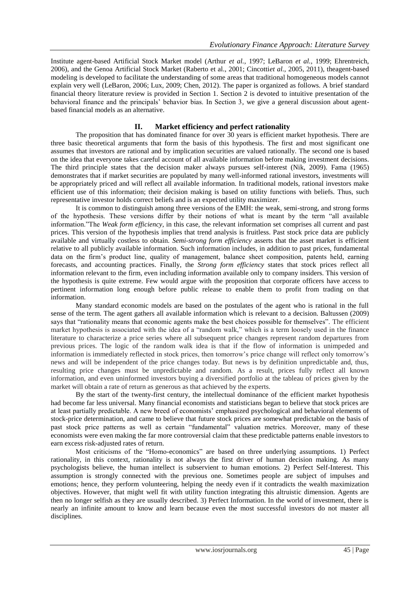Institute agent-based Artificial Stock Market model (Arthur *et al.,* 1997; LeBaron *et al.,* 1999; Ehrentreich, 2006), and the Genoa Artificial Stock Market (Raberto et al., 2001; Cincotti*et al.,* 2005, 2011), theagent-based modeling is developed to facilitate the understanding of some areas that traditional homogeneous models cannot explain very well (LeBaron, 2006; Lux, 2009; Chen, 2012). The paper is organized as follows. A brief standard financial theory literature review is provided in Section 1. Section 2 is devoted to intuitive presentation of the behavioral finance and the principals' behavior bias. In Section 3, we give a general discussion about agentbased financial models as an alternative.

## **II. Market efficiency and perfect rationality**

The proposition that has dominated finance for over 30 years is efficient market hypothesis. There are three basic theoretical arguments that form the basis of this hypothesis. The first and most significant one assumes that investors are rational and by implication securities are valued rationally. The second one is based on the idea that everyone takes careful account of all available information before making investment decisions. The third principle states that the decision maker always pursues self-interest (Nik, 2009). Fama (1965) demonstrates that if market securities are populated by many well-informed rational investors, investments will be appropriately priced and will reflect all available information. In traditional models, rational investors make efficient use of this information; their decision making is based on utility functions with beliefs. Thus, such representative investor holds correct beliefs and is an expected utility maximizer.

It is common to distinguish among three versions of the EMH: the weak, semi-strong, and strong forms of the hypothesis. These versions differ by their notions of what is meant by the term "all available information."The *Weak form efficiency*, in this case, the relevant information set comprises all current and past prices. This version of the hypothesis implies that trend analysis is fruitless. Past stock price data are publicly available and virtually costless to obtain. *Semi-strong form efficiency* asserts that the asset market is efficient relative to all publicly available information. Such information includes, in addition to past prices, fundamental data on the firm's product line, quality of management, balance sheet composition, patents held, earning forecasts, and accounting practices. Finally, the *Strong form efficiency* states that stock prices reflect all information relevant to the firm, even including information available only to company insiders. This version of the hypothesis is quite extreme. Few would argue with the proposition that corporate officers have access to pertinent information long enough before public release to enable them to profit from trading on that information.

Many standard economic models are based on the postulates of the agent who is rational in the full sense of the term. The agent gathers all available information which is relevant to a decision. Baltussen (2009) says that "rationality means that economic agents make the best choices possible for themselves". The efficient market hypothesis is associated with the idea of a "random walk," which is a term loosely used in the finance literature to characterize a price series where all subsequent price changes represent random departures from previous prices. The logic of the random walk idea is that if the flow of information is unimpeded and information is immediately reflected in stock prices, then tomorrow's price change will reflect only tomorrow's news and will be independent of the price changes today. But news is by definition unpredictable and, thus, resulting price changes must be unpredictable and random. As a result, prices fully reflect all known information, and even uninformed investors buying a diversified portfolio at the tableau of prices given by the market will obtain a rate of return as generous as that achieved by the experts.

By the start of the twenty-first century, the intellectual dominance of the efficient market hypothesis had become far less universal. Many financial economists and statisticians began to believe that stock prices are at least partially predictable. A new breed of economists' emphasized psychological and behavioral elements of stock-price determination, and came to believe that future stock prices are somewhat predictable on the basis of past stock price patterns as well as certain "fundamental" valuation metrics. Moreover, many of these economists were even making the far more controversial claim that these predictable patterns enable investors to earn excess risk-adjusted rates of return.

Most criticisms of the "Homo-economics" are based on three underlying assumptions. 1) Perfect rationality, in this context, rationality is not always the first driver of human decision making. As many psychologists believe, the human intellect is subservient to human emotions. 2) Perfect Self-Interest. This assumption is strongly connected with the previous one. Sometimes people are subject of impulses and emotions; hence, they perform volunteering, helping the needy even if it contradicts the wealth maximization objectives. However, that might well fit with utility function integrating this altruistic dimension. Agents are then no longer selfish as they are usually described. 3) Perfect Information. In the world of investment, there is nearly an infinite amount to know and learn because even the most successful investors do not master all disciplines.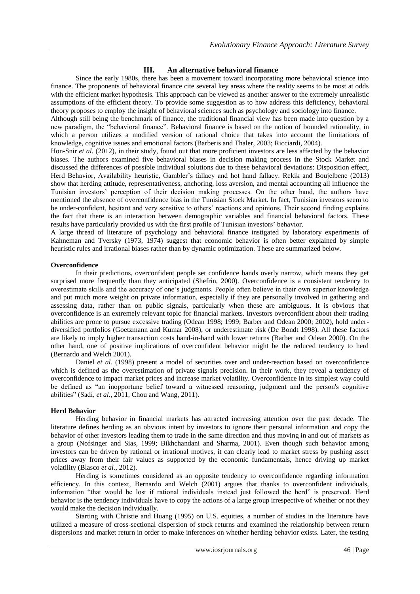## **III. An alternative behavioral finance**

Since the early 1980s, there has been a movement toward incorporating more behavioral science into finance. The proponents of behavioral finance cite several key areas where the reality seems to be most at odds with the efficient market hypothesis. This approach can be viewed as another answer to the extremely unrealistic assumptions of the efficient theory. To provide some suggestion as to how address this deficiency, behavioral theory proposes to employ the insight of behavioral sciences such as psychology and sociology into finance.

Although still being the benchmark of finance, the traditional financial view has been made into question by a new paradigm, the "behavioral finance". Behavioral finance is based on the notion of bounded rationality, in which a person utilizes a modified version of rational choice that takes into account the limitations of knowledge, cognitive issues and emotional factors (Barberis and Thaler, 2003; Ricciardi, 2004).

Hon-Snir *et al.* (2012), in their study, found out that more proficient investors are less affected by the behavior biases. The authors examined five behavioral biases in decision making process in the Stock Market and discussed the differences of possible individual solutions due to these behavioral deviations: Disposition effect, Herd Behavior, Availability heuristic, Gambler's fallacy and hot hand fallacy. Rekik and Boujelbene (2013) show that herding attitude, representativeness, anchoring, loss aversion, and mental accounting all influence the Tunisian investors' perception of their decision making processes. On the other hand, the authors have mentioned the absence of overconfidence bias in the Tunisian Stock Market. In fact, Tunisian investors seem to be under-confident, hesitant and very sensitive to others' reactions and opinions. Their second finding explains the fact that there is an interaction between demographic variables and financial behavioral factors. These results have particularly provided us with the first profile of Tunisian investors' behavior.

A large thread of literature of psychology and behavioral finance instigated by laboratory experiments of Kahneman and Tversky (1973, 1974) suggest that economic behavior is often better explained by simple heuristic rules and irrational biases rather than by dynamic optimization. These are summarized below.

### **Overconfidence**

In their predictions, overconfident people set confidence bands overly narrow, which means they get surprised more frequently than they anticipated (Shefrin, 2000). Overconfidence is a consistent tendency to overestimate skills and the accuracy of one's judgments. People often believe in their own superior knowledge and put much more weight on private information, especially if they are personally involved in gathering and assessing data, rather than on public signals, particularly when these are ambiguous. It is obvious that overconfidence is an extremely relevant topic for financial markets. Investors overconfident about their trading abilities are prone to pursue excessive trading (Odean 1998; 1999; Barber and Odean 2000; 2002), hold underdiversified portfolios (Goetzmann and Kumar 2008), or underestimate risk (De Bondt 1998). All these factors are likely to imply higher transaction costs hand-in-hand with lower returns (Barber and Odean 2000). On the other hand, one of positive implications of overconfident behavior might be the reduced tendency to herd (Bernardo and Welch 2001).

Daniel *et al.* (1998) present a model of securities over and under-reaction based on overconfidence which is defined as the overestimation of private signals precision. In their work, they reveal a tendency of overconfidence to impact market prices and increase market volatility. Overconfidence in its simplest way could be defined as "an inopportune belief toward a witnessed reasoning, judgment and the person's cognitive abilities" (Sadi, *et al.,* 2011, Chou and Wang, 2011).

## **Herd Behavior**

Herding behavior in financial markets has attracted increasing attention over the past decade. The literature defines herding as an obvious intent by investors to ignore their personal information and copy the behavior of other investors leading them to trade in the same direction and thus moving in and out of markets as a group (Nofsinger and Sias, 1999; Bikhchandani and Sharma, 2001). Even though such behavior among investors can be driven by rational or irrational motives, it can clearly lead to market stress by pushing asset prices away from their fair values as supported by the economic fundamentals, hence driving up market volatility (Blasco *et al.,* 2012).

Herding is sometimes considered as an opposite tendency to overconfidence regarding information efficiency. In this context, Bernardo and Welch (2001) argues that thanks to overconfident individuals, information "that would be lost if rational individuals instead just followed the herd" is preserved. Herd behavior is the tendency individuals have to copy the actions of a large group irrespective of whether or not they would make the decision individually.

Starting with Christie and Huang (1995) on U.S. equities, a number of studies in the literature have utilized a measure of cross-sectional dispersion of stock returns and examined the relationship between return dispersions and market return in order to make inferences on whether herding behavior exists. Later, the testing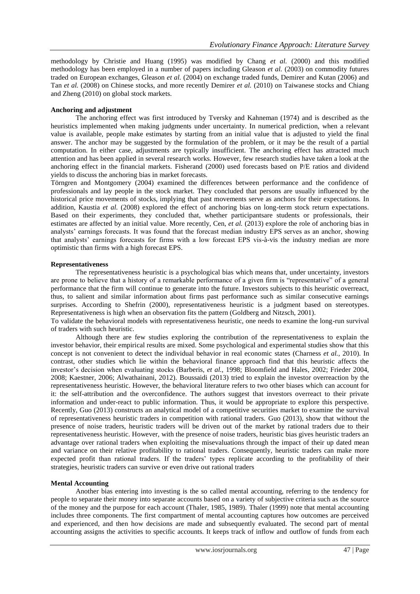methodology by Christie and Huang (1995) was modified by Chang *et al.* (2000) and this modified methodology has been employed in a number of papers including Gleason *et al.* (2003) on commodity futures traded on European exchanges, Gleason *et al.* (2004) on exchange traded funds, Demirer and Kutan (2006) and Tan *et al.* (2008) on Chinese stocks, and more recently Demirer *et al.* (2010) on Taiwanese stocks and Chiang and Zheng (2010) on global stock markets.

## **Anchoring and adjustment**

The anchoring effect was first introduced by Tversky and Kahneman (1974) and is described as the heuristics implemented when making judgments under uncertainty. In numerical prediction, when a relevant value is available, people make estimates by starting from an initial value that is adjusted to yield the final answer. The anchor may be suggested by the formulation of the problem, or it may be the result of a partial computation. In either case, adjustments are typically insufficient. The anchoring effect has attracted much attention and has been applied in several research works. However, few research studies have taken a look at the anchoring effect in the financial markets. Fisherand (2000) used forecasts based on P/E ratios and dividend yields to discuss the anchoring bias in market forecasts.

Törngren and Montgomery (2004) examined the differences between performance and the confidence of professionals and lay people in the stock market. They concluded that persons are usually influenced by the historical price movements of stocks, implying that past movements serve as anchors for their expectations. In addition, Kaustia *et al.* (2008) explored the effect of anchoring bias on long-term stock return expectations. Based on their experiments, they concluded that, whether participantsare students or professionals, their estimates are affected by an initial value. More recently, Cen, *et al.* (2013) explore the role of anchoring bias in analysts' earnings forecasts. It was found that the forecast median industry EPS serves as an anchor, showing that analysts' earnings forecasts for firms with a low forecast EPS vis-à-vis the industry median are more optimistic than firms with a high forecast EPS.

#### **Representativeness**

The representativeness heuristic is a psychological bias which means that, under uncertainty, investors are prone to believe that a history of a remarkable performance of a given firm is "representative" of a general performance that the firm will continue to generate into the future. Investors subjects to this heuristic overreact, thus, to salient and similar information about firms past performance such as similar consecutive earnings surprises. According to Shefrin (2000), representativeness heuristic is a judgment based on stereotypes. Representativeness is high when an observation fits the pattern (Goldberg and Nitzsch, 2001).

To validate the behavioral models with representativeness heuristic, one needs to examine the long-run survival of traders with such heuristic.

Although there are few studies exploring the contribution of the representativeness to explain the investor behavior, their empirical results are mixed. Some psychological and experimental studies show that this concept is not convenient to detect the individual behavior in real economic states (Charness *et al.,* 2010). In contrast, other studies which lie within the behavioral finance approach find that this heuristic affects the investor's decision when evaluating stocks (Barberis, *et al.,* 1998; Bloomfield and Hales, 2002; Frieder 2004, 2008; Kaestner, 2006; Alwathainani, 2012). Boussaidi (2013) tried to explain the investor overreaction by the representativeness heuristic. However, the behavioral literature refers to two other biases which can account for it: the self-attribution and the overconfidence. The authors suggest that investors overreact to their private information and under-react to public information. Thus, it would be appropriate to explore this perspective. Recently, Guo (2013) constructs an analytical model of a competitive securities market to examine the survival of representativeness heuristic traders in competition with rational traders. Guo (2013), show that without the presence of noise traders, heuristic traders will be driven out of the market by rational traders due to their representativeness heuristic. However, with the presence of noise traders, heuristic bias gives heuristic traders an advantage over rational traders when exploiting the misevaluations through the impact of their up dated mean and variance on their relative profitability to rational traders. Consequently, heuristic traders can make more expected profit than rational traders. If the traders' types replicate according to the profitability of their strategies, heuristic traders can survive or even drive out rational traders

#### **Mental Accounting**

Another bias entering into investing is the so called mental accounting, referring to the tendency for people to separate their money into separate accounts based on a variety of subjective criteria such as the source of the money and the purpose for each account (Thaler, 1985, 1989). Thaler (1999) note that mental accounting includes three components. The first compartment of mental accounting captures how outcomes are perceived and experienced, and then how decisions are made and subsequently evaluated. The second part of mental accounting assigns the activities to specific accounts. It keeps track of inflow and outflow of funds from each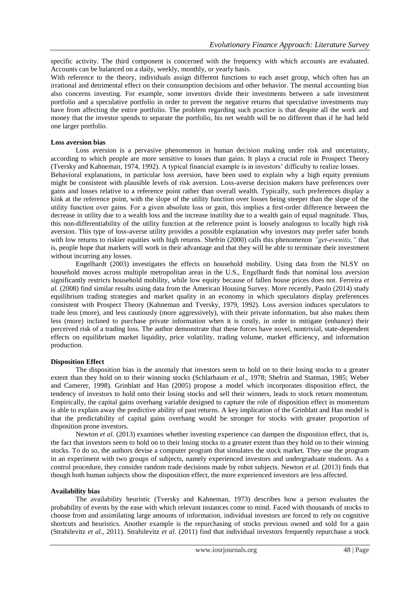specific activity. The third component is concerned with the frequency with which accounts are evaluated. Accounts can be balanced on a daily, weekly, monthly, or yearly basis.

With reference to the theory, individuals assign different functions to each asset group, which often has an irrational and detrimental effect on their consumption decisions and other behavior. The mental accounting bias also concerns investing. For example, some investors divide their investments between a safe investment portfolio and a speculative portfolio in order to prevent the negative returns that speculative investments may have from affecting the entire portfolio. The problem regarding such practice is that despite all the work and money that the investor spends to separate the portfolio, his net wealth will be no different than if he had held one larger portfolio.

#### **Loss aversion bias**

Loss aversion is a pervasive phenomenon in human decision making under risk and uncertainty, according to which people are more sensitive to losses than gains. It plays a crucial role in Prospect Theory (Tversky and Kahneman, 1974, 1992). A typical financial example is in investors' difficulty to realize losses. Behavioral explanations, in particular loss aversion, have been used to explain why a high equity premium might be consistent with plausible levels of risk aversion. Loss-averse decision makers have preferences over gains and losses relative to a reference point rather than overall wealth. Typically, such preferences display a kink at the reference point, with the slope of the utility function over losses being steeper than the slope of the utility function over gains. For a given absolute loss or gain, this implies a first-order difference between the decrease in utility due to a wealth loss and the increase inutility due to a wealth gain of equal magnitude. Thus, this non-differentiability of the utility function at the reference point is loosely analogous to locally high risk aversion. This type of loss-averse utility provides a possible explanation why investors may prefer safer bonds with low returns to riskier equities with high returns. Shefrin (2000) calls this phenomenon *"get-evenitis,"* that is, people hope that markets will work in their advantage and that they will be able to terminate their investment without incurring any losses.

Engelhardt (2003) investigates the effects on household mobility. Using data from the NLSY on household moves across multiple metropolitan areas in the U.S., Engelhardt finds that nominal loss aversion significantly restricts household mobility, while low equity because of fallen house prices does not. Ferreira *et al.* (2008) find similar results using data from the American Housing Survey. More recently, Paolo (2014) study equilibrium trading strategies and market quality in an economy in which speculators display preferences consistent with Prospect Theory (Kahneman and Tversky, 1979, 1992). Loss aversion induces speculators to trade less (more), and less cautiously (more aggressively), with their private information, but also makes them less (more) inclined to purchase private information when it is costly, in order to mitigate (enhance) their perceived risk of a trading loss. The author demonstrate that these forces have novel, nontrivial, state-dependent effects on equilibrium market liquidity, price volatility, trading volume, market efficiency, and information production.

#### **Disposition Effect**

The disposition bias is the anomaly that investors seem to hold on to their losing stocks to a greater extent than they hold on to their winning stocks (Schlarbaum *et al*., 1978; Shefrin and Statman, 1985; Weber and Camerer, 1998). Grinblatt and Han (2005) propose a model which incorporates disposition effect, the tendency of investors to hold onto their losing stocks and sell their winners, leads to stock return momentum. Empirically, the capital gains overhang variable designed to capture the role of disposition effect in momentum is able to explain away the predictive ability of past returns. A key implication of the Grinblatt and Han model is that the predictability of capital gains overhang would be stronger for stocks with greater proportion of disposition prone investors.

Newton *et al.* (2013) examines whether investing experience can dampen the disposition effect, that is, the fact that investors seem to hold on to their losing stocks to a greater extent than they hold on to their winning stocks. To do so, the authors devise a computer program that simulates the stock market. They use the program in an experiment with two groups of subjects, namely experienced investors and undergraduate students. As a control procedure, they consider random trade decisions made by robot subjects. Newton *et al.* (2013) finds that though both human subjects show the disposition effect, the more experienced investors are less affected.

#### **Availability bias**

The availability heuristic (Tversky and Kahneman, 1973) describes how a person evaluates the probability of events by the ease with which relevant instances come to mind. Faced with thousands of stocks to choose from and assimilating large amounts of information, individual investors are forced to rely on cognitive shortcuts and heuristics. Another example is the repurchasing of stocks previous owned and sold for a gain (Strahilevitz *et al.,* 2011). Strahilevitz *et al.* (2011) find that individual investors frequently repurchase a stock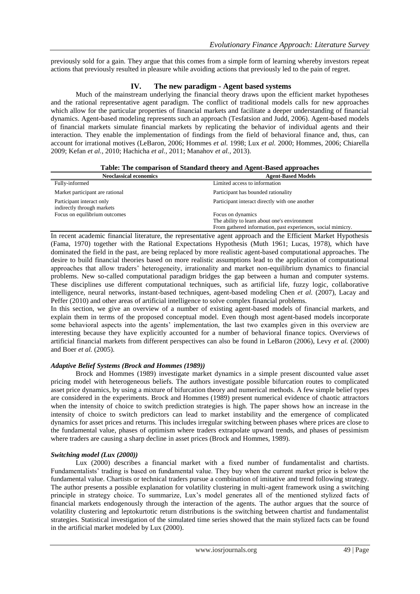previously sold for a gain. They argue that this comes from a simple form of learning whereby investors repeat actions that previously resulted in pleasure while avoiding actions that previously led to the pain of regret.

## **IV. The new paradigm - Agent based systems**

Much of the mainstream underlying the financial theory draws upon the efficient market hypotheses and the rational representative agent paradigm. The conflict of traditional models calls for new approaches which allow for the particular properties of financial markets and facilitate a deeper understanding of financial dynamics. Agent-based modeling represents such an approach (Tesfatsion and Judd, 2006). Agent-based models of financial markets simulate financial markets by replicating the behavior of individual agents and their interaction. They enable the implementation of findings from the field of behavioral finance and, thus, can account for irrational motives (LeBaron, 2006; Hommes *et al.* 1998; Lux *et al.* 2000; Hommes, 2006; Chiarella 2009; Kefan *et al.,* 2010; Hachicha *et al.,* 2011; Manahov *et al.,* 2013).

|  |  | Table: The comparison of Standard theory and Agent-Based approaches |
|--|--|---------------------------------------------------------------------|
|  |  |                                                                     |

| Tuolet The comparison of Damaan a meory and Hyene Dubea upproughes |                                                              |  |  |  |
|--------------------------------------------------------------------|--------------------------------------------------------------|--|--|--|
| <b>Neoclassical economics</b>                                      | <b>Agent-Based Models</b>                                    |  |  |  |
| Fully-informed                                                     | Limited access to information                                |  |  |  |
| Market participant are rational                                    | Participant has bounded rationality                          |  |  |  |
| Participant interact only<br>indirectly through markets            | Participant interact directly with one another               |  |  |  |
| Focus on equilibrium outcomes                                      | Focus on dynamics                                            |  |  |  |
|                                                                    | The ability to learn about one's environment                 |  |  |  |
|                                                                    | From gathered information, past experiences, social mimicry. |  |  |  |

In recent academic financial literature, the representative agent approach and the Efficient Market Hypothesis (Fama, 1970) together with the Rational Expectations Hypothesis (Muth 1961; Lucas, 1978), which have dominated the field in the past, are being replaced by more realistic agent-based computational approaches. The desire to build financial theories based on more realistic assumptions lead to the application of computational approaches that allow traders' heterogeneity, irrationality and market non-equilibrium dynamics to financial problems. New so-called computational paradigm bridges the gap between a human and computer systems. These disciplines use different computational techniques, such as artificial life, fuzzy logic, collaborative intelligence, neural networks, instant-based techniques, agent-based modeling Chen *et al.* (2007), Lacay and Peffer (2010) and other areas of artificial intelligence to solve complex financial problems.

In this section, we give an overview of a number of existing agent-based models of financial markets, and explain them in terms of the proposed conceptual model. Even though most agent-based models incorporate some behavioral aspects into the agents' implementation, the last two examples given in this overview are interesting because they have explicitly accounted for a number of behavioral finance topics. Overviews of artificial financial markets from different perspectives can also be found in LeBaron (2006), Levy *et al.* (2000) and Boer *et al.* (2005).

## *Adaptive Belief Systems (Brock and Hommes (1989))*

Brock and Hommes (1989) investigate market dynamics in a simple present discounted value asset pricing model with heterogeneous beliefs. The authors investigate possible bifurcation routes to complicated asset price dynamics, by using a mixture of bifurcation theory and numerical methods. A few simple belief types are considered in the experiments. Brock and Hommes (1989) present numerical evidence of chaotic attractors when the intensity of choice to switch prediction strategies is high. The paper shows how an increase in the intensity of choice to switch predictors can lead to market instability and the emergence of complicated dynamics for asset prices and returns. This includes irregular switching between phases where prices are close to the fundamental value, phases of optimism where traders extrapolate upward trends, and phases of pessimism where traders are causing a sharp decline in asset prices (Brock and Hommes, 1989).

## *Switching model (Lux (2000))*

Lux (2000) describes a financial market with a fixed number of fundamentalist and chartists. Fundamentalists' trading is based on fundamental value. They buy when the current market price is below the fundamental value. Chartists or technical traders pursue a combination of imitative and trend following strategy. The author presents a possible explanation for volatility clustering in multi-agent framework using a switching principle in strategy choice. To summarize, Lux's model generates all of the mentioned stylized facts of financial markets endogenously through the interaction of the agents. The author argues that the source of volatility clustering and leptokurtotic return distributions is the switching between chartist and fundamentalist strategies. Statistical investigation of the simulated time series showed that the main stylized facts can be found in the artificial market modeled by Lux (2000).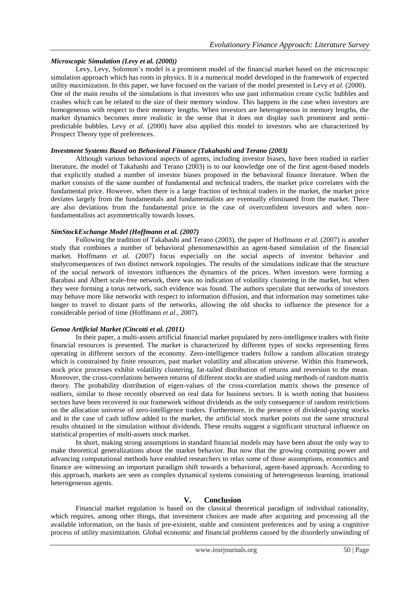## *Microscopic Simulation (Levy et al. (2000))*

Levy, Levy, Solomon's model is a prominent model of the financial market based on the microscopic simulation approach which has roots in physics. It is a numerical model developed in the framework of expected utility maximization. In this paper, we have focused on the variant of the model presented in Levy *et al.* (2000). One of the main results of the simulations is that investors who use past information create cyclic bubbles and crashes which can be related to the size of their memory window. This happens in the case when investors are homogeneous with respect to their memory lengths. When investors are heterogeneous in memory lengths, the market dynamics becomes more realistic in the sense that it does not display such prominent and semipredictable bubbles. Levy *et al.* (2000) have also applied this model to investors who are characterized by Prospect Theory type of preferences.

### *Investment Systems Based on Behavioral Finance (Takahashi and Terano (2003)*

Although various behavioral aspects of agents, including investor biases, have been studied in earlier literature, the model of Takahashi and Terano (2003) is to our knowledge one of the first agent-based models that explicitly studied a number of investor biases proposed in the behavioral finance literature. When the market consists of the same number of fundamental and technical traders, the market price correlates with the fundamental price. However, when there is a large fraction of technical traders in the market, the market price deviates largely from the fundamentals and fundamentalists are eventually eliminated from the market. There are also deviations from the fundamental price in the case of overconfident investors and when nonfundamentalists act asymmetrically towards losses.

### *SimStockExchange Model (Hoffmann et al. (2007)*

Following the tradition of Takahashi and Terano (2003), the paper of Hoffmann *et al.* (2007) is another study that combines a number of behavioral phenomenawithin an agent-based simulation of the financial market. Hoffmann *et al.* (2007) focus especially on the social aspects of investor behavior and studyconsequences of two distinct network topologies. The results of the simulations indicate that the structure of the social network of investors influences the dynamics of the prices. When investors were forming a Barabasi and Albert scale-free network, there was no indication of volatility clustering in the market, but when they were forming a torus network, such evidence was found. The authors speculate that networks of investors may behave more like networks with respect to information diffusion, and that information may sometimes take longer to travel to distant parts of the networks, allowing the old shocks to influence the presence for a considerable period of time (Hoffmann *et al*., 2007).

## *Genoa Artificial Market (Cincotti et al. (2011)*

In their paper, a multi-assets artificial financial market populated by zero-intelligence traders with finite financial resources is presented. The market is characterized by different types of stocks representing firms operating in different sectors of the economy. Zero-intelligence traders follow a random allocation strategy which is constrained by finite resources, past market volatility and allocation universe. Within this framework, stock price processes exhibit volatility clustering, fat-tailed distribution of returns and reversion to the mean. Moreover, the cross-correlations between returns of different stocks are studied using methods of random matrix theory. The probability distribution of eigen-values of the cross-correlation matrix shows the presence of outliers, similar to those recently observed on real data for business sectors. It is worth noting that business sectors have been recovered in our framework without dividends as the only consequence of random restrictions on the allocation universe of zero-intelligence traders. Furthermore, in the presence of dividend-paying stocks and in the case of cash inflow added to the market, the artificial stock market points out the same structural results obtained in the simulation without dividends. These results suggest a significant structural influence on statistical properties of multi-assets stock market.

In short, making strong assumptions in standard financial models may have been about the only way to make theoretical generalizations about the market behavior. But now that the growing computing power and advancing computational methods have enabled researchers to relax some of those assumptions, economics and finance are witnessing an important paradigm shift towards a behavioral, agent-based approach. According to this approach, markets are seen as complex dynamical systems consisting of heterogeneous learning, irrational heterogeneous agents.

## **V. Conclusion**

Financial market regulation is based on the classical theoretical paradigm of individual rationality, which requires, among other things, that investment choices are made after acquiring and processing all the available information, on the basis of pre-existent, stable and consistent preferences and by using a cognitive process of utility maximization. Global economic and financial problems caused by the disorderly unwinding of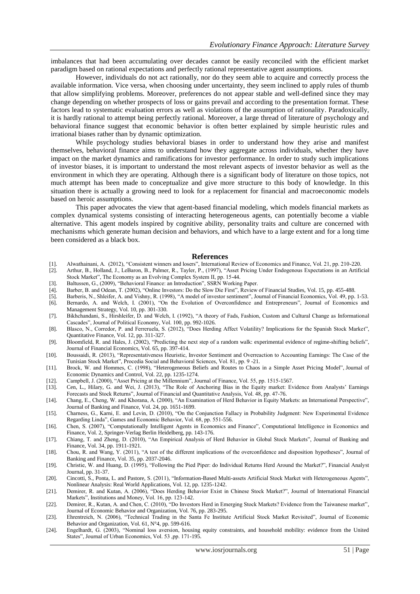imbalances that had been accumulating over decades cannot be easily reconciled with the efficient market paradigm based on rational expectations and perfectly rational representative agent assumptions.

However, individuals do not act rationally, nor do they seem able to acquire and correctly process the available information. Vice versa, when choosing under uncertainty, they seem inclined to apply rules of thumb that allow simplifying problems. Moreover, preferences do not appear stable and well-defined since they may change depending on whether prospects of loss or gains prevail and according to the presentation format. These factors lead to systematic evaluation errors as well as violations of the assumption of rationality. Paradoxically, it is hardly rational to attempt being perfectly rational. Moreover, a large thread of literature of psychology and behavioral finance suggest that economic behavior is often better explained by simple heuristic rules and irrational biases rather than by dynamic optimization.

While psychology studies behavioral biases in order to understand how they arise and manifest themselves, behavioral finance aims to understand how they aggregate across individuals, whether they have impact on the market dynamics and ramifications for investor performance. In order to study such implications of investor biases, it is important to understand the most relevant aspects of investor behavior as well as the environment in which they are operating. Although there is a significant body of literature on those topics, not much attempt has been made to conceptualize and give more structure to this body of knowledge. In this situation there is actually a growing need to look for a replacement for financial and macroeconomic models based on heroic assumptions.

This paper advocates the view that agent-based financial modeling, which models financial markets as complex dynamical systems consisting of interacting heterogeneous agents, can potentially become a viable alternative. This agent models inspired by cognitive ability, personality traits and culture are concerned with mechanisms which generate human decision and behaviors, and which have to a large extent and for a long time been considered as a black box.

#### **References**

- [1]. Alwathainani, A. (2012), "Consistent winners and losers", International Review of Economics and Finance, Vol. 21, pp. 210-220.
- [2]. Arthur, B., Holland, J., LeBaron, B., Palmer, R., Tayler, P., (1997), "Asset Pricing Under Endogenous Expectations in an Artificial Stock Market", The Economy as an Evolving Complex System II, pp. 15-44.
- [3]. Baltussen, G., (2009), "Behavioral Finance: an Introduction", SSRN Working Paper.
- [4]. Barber, B. and Odean, T. (2002), "Online Investors: Do the Slow Die First", Review of Financial Studies, Vol. 15, pp. 455-488.
- [5]. Barberis, N., Shleifer, A. and Vishny, R. (1998), "A model of investor sentiment", Journal of Financial Economics, Vol. 49, pp. 1-53.
- [6]. Bernardo, A. and Welch, I. (2001), "On the Evolution of Overconfidence and Entrepreneurs", Journal of Economics and Management Strategy, Vol. 10, pp. 301-330.
- [7]. Bikhchandani, S., Hirshleifer, D. and Welch, I. (1992), "A theory of Fads, Fashion, Custom and Cultural Change as Informational Cascades", Journal of Political Economy, Vol. 100, pp. 992-1026.
- [8]. Blasco, N., Corredor, P. and Ferreruela, S. (2012), "Does Herding Affect Volatility? Implications for the Spanish Stock Market", Quantitative Finance, Vol. 12, pp. 311-327.
- [9]. Bloomfield, R. and Hales, J. (2002), "Predicting the next step of a random walk: experimental evidence of regime-shifting beliefs", Journal of Financial Economics, Vol. 65, pp. 397-414.
- [10]. Boussaidi, R. (2013), "Representativeness Heuristic, Investor Sentiment and Overreaction to Accounting Earnings: The Case of the Tunisian Stock Market", Procedia Social and Behavioral Sciences, Vol. 81, pp. 9 -21.
- [11]. Brock, W. and Hommes, C. (1998), ["Heterogeneous Beliefs and Routes to Chaos in a Simple Asset Pricing](http://ideas.repec.org/a/eee/dyncon/v22y1998i8-9p1235-1274.html) Model", [Journal of](http://ideas.repec.org/s/eee/dyncon.html)  [Economic Dynamics and Control,](http://ideas.repec.org/s/eee/dyncon.html) Vol. 22, pp. 1235-1274.
- [12]. Campbell, J. (2000), "Asset Pricing at the Millennium", Journal of Finance, Vol. 55, pp. 1515-1567.
- [13]. Cen, L., Hilary, G. and Wei, J. (2013), "The Role of Anchoring Bias in the Equity market: Evidence from Analysts' Earnings Forecasts and Stock Returns", Journal of Financial and Quantitative Analysis, Vol. 48, pp. 47-76.
- [14]. Chang, E., Cheng, W. and Khorana, A. (2000), "An Examination of Herd Behavior in Equity Markets: an International Perspective", Journal of Banking and Finance, Vol. 24, pp. 1651-1699.
- [15]. Charness, G., Karni, E. and Levin, D. (2010), "On the Conjunction Fallacy in Probability Judgment: New Experimental Evidence Regarding Linda", Games and Economic Behavior, Vol. 68, pp. 551-556.
- [16]. Chen, S. (2007), "Computationally Intelligent Agents in Economics and Finance", Computational Intelligence in Economics and Finance, Vol. 2, Springer-Verlag Berlin Heidelberg, pp. 143-176.
- [17]. Chiang, T. and Zheng, D. (2010), "An Empirical Analysis of Herd Behavior in Global Stock Markets", Journal of Banking and Finance, Vol. 34, pp. 1911-1921.
- [18]. Chou, R. and Wang, Y. (2011), "A test of the different implications of the overconfidence and disposition hypotheses", Journal of Banking and Finance, Vol. 35, pp. 2037-2046.
- [19]. Christie, W. and Huang, D. (1995), "Following the Pied Piper: do Individual Returns Herd Around the Market?", Financial Analyst Journal, pp. 31-37.
- [20]. Cincotti, S., Ponta, L. and Pastore, S. (2011), "Information-Based Multi-assets Artificial Stock Market with Heterogeneous Agents", Nonlinear Analysis: Real World Applications, Vol. 12, pp. 1235-1242.
- [21]. Demirer, R. and Kutan, A. (2006), "Does Herding Behavior Exist in Chinese Stock Market?", Journal of International Financial Markets", Institutions and Money, Vol. 16, pp. 123-142.
- [22]. Demirer, R., Kutan, A. and Chen, C. (2010), "Do Investors Herd in Emerging Stock Markets? Evidence from the Taiwanese market", Journal of Economic Behavior and Organization, Vol. 76, pp. 283-295.
- [23]. Ehrentreich, N. (2006), "Technical Trading in the Santa Fe Institute Artificial Stock Market Revisited", Journal of Economic Behavior and Organization, Vol. 61, N°4, pp. 599-616.
- [24]. Engelhardt, G. (2003), "Nominal loss aversion, housing equity constraints, and household mobility: evidence from the United States", Journal of Urban Economics, Vol. 53 ,pp. 171-195.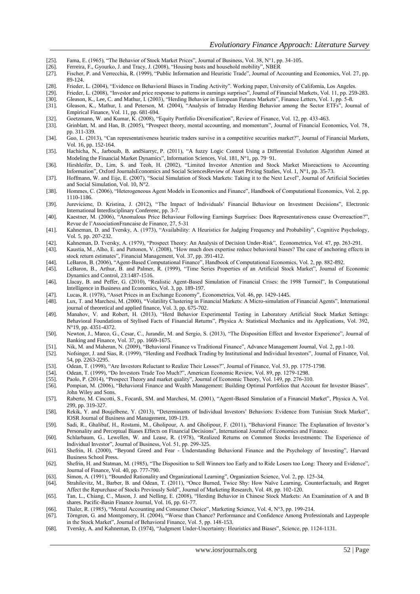- [25]. Fama, E. (1965), "The Behavior of Stock Market Prices", Journal of Business, Vol. 38, N°1, pp. 34-105.
- [26]. Ferreira, F., Gyourko, J. and Tracy, J. (2008), "Housing busts and household mobility", NBER<br>[27]. Fischer, P. and Verrecchia, R. (1999), "Public Information and Heuristic Trade", Journal of A
- Fischer, P. and Verrecchia, R. (1999), "Public Information and Heuristic Trade", Journal of Accounting and Economics, Vol. 27, pp. 89-124.
- [28]. Frieder, L. (2004), "Evidence on Behavioral Biases in Trading Activity". Working paper, University of California, Los Angeles.
- [29]. Frieder, L. (2008), "Investor and price response to patterns in earnings surprises", Journal of Financial Markets, Vol. 11, pp. 259-283.<br>[30]. Gleason, K., Lee, C. and Mathur, I. (2003), "Herding Behavior in European
- [30]. Gleason, K., Lee, C. and Mathur, I. (2003), "Herding Behavior in European Futures Markets", Finance Letters, Vol. 1, pp. 5-8.
- [31]. Gleason, K., Mathur, I. and Peterson, M. (2004), "Analysis of Intraday Herding Behavior among the Sector ETFs", Journal of Empirical Finance, Vol. 11, pp. 681-694.
- [32]. Goetzmann, W. and Kumar, K. (2008), "Equity Portfolio Diversification", Review of Finance, Vol. 12, pp. 433-463.<br>[33]. Grinblatt, M. and Han, B. (2005), "Prospect theory, mental accounting, and momentum", Journal of
- [33]. Grinblatt, M. and Han, B. (2005), "Prospect theory, mental accounting, and momentum", Journal of Financial Economics, Vol. 78, pp. 311-339.
- [34]. Guo, L. (2013), "Can representativeness heuristic traders survive in a competitive securities market?", Journal of Financial Markets, Vol. 16, pp. 152-164.
- [35]. [Hachicha,](http://www.sciencedirect.com/science/article/pii/S002002551000438X) N., [Jarbouib,](http://www.sciencedirect.com/science/article/pii/S002002551000438X) B. an[dSiarryc,](http://www.sciencedirect.com/science/article/pii/S002002551000438X) P. (2011), "A fuzzy Logic Control Using a Differential Evolution Algorithm Aimed at Modeling the Financial Market Dynamics"[, Information Sciences,](http://www.sciencedirect.com/science/journal/00200255) Vol. [181, N°1,](http://www.sciencedirect.com/science/journal/00200255/181/1) pp. 79–91.
- [36]. Hirshleifer, D., Lim, S. and Teoh, H. (2002), "Limited Investor Attention and Stock Market Misreactions to Accounting Information"[, Oxford JournalsEconomics](http://services.oxfordjournals.org/cgi/tslogin?url=http%3A%2F%2Fwww.oxfordjournals.org) and [Social SciencesReview of Asset Pricing Studies,](http://www.oxfordjournals.org/subject/social_sciences/) [Vol. 1,](http://raps.oxfordjournals.org/content/1/1.toc) N°1, pp. 35-73.
- [37]. Hoffmann, W. and Eije, E. (2007), "Social Simulation of Stock Markets: Taking it to the Next Level", Journal of Artificial Societies and Social Simulation, Vol. 10, N°2.
- [38]. Hommes, C. (2006), "Heterogeneous Agent Models in Economics and Finance", Handbook of Computational Economics, Vol. 2, pp. 1110-1186.
- [39]. Jureviciene, D. Kristina, J. (2012), "The Impact of Individuals' Financial Behaviour on Investment Decisions", Electronic International Interdisciplinary Conferenc, pp. 3-7.
- [40]. Kaestner, M. (2006), "Anomalous Price Behaviour Following Earnings Surprises: Does Representativeness cause Overreaction?", Revue de l'AssociationFrancaise de Finance, 27, 5-31
- [41]. Kahneman, D. and Tversky, A. (1973), "Availability: A Heuristics for Judging Frequency and Probability", Cognitive Psychology, Vol. 5, pp. 207-232.
- [42]. Kahneman, D. Tversky, A. (1979), "Prospect Theory: An Analysis of Decision Under-Risk", Econometrica, Vol. 47, pp. 263-291.
- Kaustia, M., Alho, E. and Puttonen, V. (2008), "How much does expertise reduce behavioral biases? The case of anchoring effects in stock return estimates", Financial Management, Vol. 37, pp. 391-412.
- [44]. LeBaron, B. (2006), "Agent-Based Computational Finance", Handbook of Computational Economics, Vol. 2, pp. 882-892.
- [45]. LeBaron, B., Arthur, B. and Palmer, R. (1999), "Time Series Properties of an Artificial Stock Market", Journal of Economic Dynamics and Control, 23:1487-1516.
- [46]. Llacay, B. and Peffer, G. (2010), "Realistic Agent-Based Simulation of Financial Crises: the 1998 Turmoil", In Computational Intelligence in Business and Economics, Vol. 3, pp. 189-197.
- [47]. Lucas, R. (1978), "Asset Prices in an Exchange Economy", Econometrica, Vol. 46, pp. 1429-1445.
- [48]. Lux, T. and Marchesi, M. (2000), "Volatility Clustering in Financial Markets: A Micro-simulation of Financial Agents", International journal of theoretical and applied finance, Vol. 3, pp. 675-702.
- [49]. [Manahov, V. and Robert, H. \(2013\), "Herd Behavior Experimental Testing in Laboratory Artificial Stock Market Settings:](http://www.sciencedirect.com/science/article/pii/S0378437113004524)  [Behavioral Foundations of Stylised Facts of Financial Returns"](http://www.sciencedirect.com/science/article/pii/S0378437113004524), Physica A: Statistical Mechanics and its Applications, Vol. 392, N°19, pp. 4351-4372.
- [50]. Newton, J., Marco, G., Cesar, C., Jurandir, M. and Sergio, S. (2013), "The Disposition Effect and Investor Experience", Journal of Banking and Finance, Vol. 37, pp. 1669-1675.
- [51]. Nik, M. and Maheran, N. (2009), "Behavioral Finance vs Traditional Finance", Advance Management Journal, Vol. 2, pp.1-10. [52]. Nofsinger, J. and Sias, R. (1999), "Herding and Feedback Trading by Institutional and Individual Investors", Journal of Finance, Vol.
- 54, pp. 2263-2295.
- [53]. Odean, T. (1998), "Are Investors Reluctant to Realize Their Losses?", Journal of Finance, Vol. 53, pp. 1775-1798.
- [54]. Odean, T. (1999), "Do Investors Trade Too Much?", American Economic Review, Vol. 89, pp. 1279-1298.
- [55]. Paolo, P. (2014), "Prospect Theory and market quality", Journal of Economic Theory, Vol. 149, pp. 276-310.
- [56]. Pompian, M. (2006), "Behavioral Finance and Wealth Management: Building Optimal Portfolios that Account for Investor Biases". John Wiley and Sons.
- [57]. Raberto, M. Cincotti, S., Focardi, SM. and Marchesi, M. (2001), "Agent-Based Simulation of a Financial Market", Physica A, Vol. 299, pp. 319-327.
- [58]. Rekik, Y. and Boujelbene, Y. (2013), "Determinants of Individual Investors' Behaviors: Evidence from Tunisian Stock Market", IOSR Journal of Business and Management, 109-119.
- [59]. Sadi, R., Ghalibaf, H., Rostami, M., Gholipour, A. and Gholipour, F. (2011), "Behavioral Finance: The Explanation of Investor's Personality and Perceptual Biases Effects on Financial Decisions", International Journal of Economics and Finance.
- [60]. Schlarbaum, G., Lewellen, W. and Lease, R. (1978), "Realized Returns on Common Stocks Investments: The Experience of Individual Investor", Journal of Business, Vol. 51, pp. 299-325.
- [61]. Shefrin, H. (2000), "Beyond Greed and Fear Understanding Behavioral Finance and the Psychology of Investing", Harvard Business School Press.
- [62]. Shefrin, H. and Statman, M. (1985), "The Disposition to Sell Winners too Early and to Ride Losers too Long: Theory and Evidence", Journal of Finance, Vol. 40, pp. 777-790.
- [63]. Simon, A. (1991), "Bounded Rationality and Organizational Learning", Organization Science, Vol. 2, pp. 125-34.
- [64]. Strahilevitz, M., Barber, B. and Odean, T. (2011), "Once Burned, Twice Shy: How Naïve Learning, Counterfactuals, and Regret Affect the Repurchase of Stocks Previously Sold", Journal of Marketing Research, Vol. 48, pp. 102-120.
- [65]. Tan, L., Chiang, C., Mason, J. and Nelling, E. (2008), "Herding Behavior in Chinese Stock Markets: An Examination of A and B shares. Pacific-Basin Finance Journal, Vol. 16, pp. 61-77.
- [66]. Thaler, R. (1985), "Mental Accounting and Consumer Choice", Marketing Science, Vol. 4, N°3, pp. 199-214.
- [67]. Törngren, G. and Montgomery, H. (2004), "Worse than Chance? Performance and Confidence Among Professionals and Laypeople in the Stock Market", Journal of Behavioral Finance, Vol. 5, pp. 148-153.
- [68]. [Tversky, A. and Kahneman, D. \(1974\), "](http://www.sciencedirect.com.gate3.inist.fr/science?_ob=ArticleURL&_udi=B6V8F-45F900X-8&_user=4046427&_coverDate=10%2F31%2F2002&_fmt=full&_orig=search&_cdi=5869&view=c&_acct=C000061186&_version=1&_urlVersion=0&_userid=4046427&md5=3a6d764484f211e4a9030c769c37c0ed&ref=full#bbib30)Judgment Under-Uncertainty: Heuristics and Biases", Science, pp. 1124-1131.